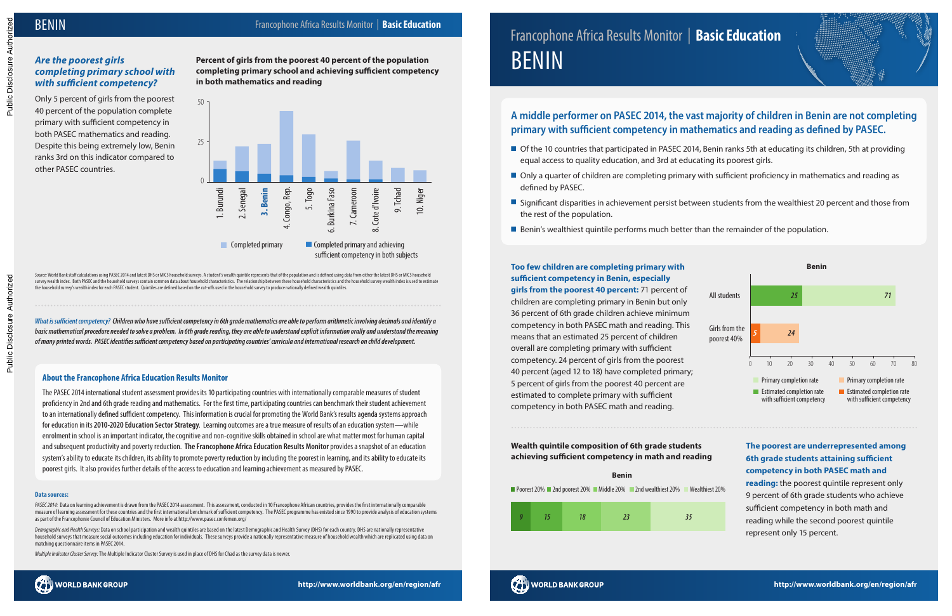# Francophone Africa Results Monitor | **Basic Education BENIN**

#### **About the Francophone Africa Education Results Monitor**

The PASEC 2014 international student assessment provides its 10 participating countries with internationally comparable measures of student proficiency in 2nd and 6th grade reading and mathematics. For the first time, participating countries can benchmark their student achievement to an internationally defined sufficient competency. This information is crucial for promoting the World Bank's results agenda systems approach for education in its **2010-2020 Education Sector Strategy**. Learning outcomes are a true measure of results of an education system—while enrolment in school is an important indicator, the cognitive and non-cognitive skills obtained in school are what matter most for human capital and subsequent productivity and poverty reduction. **The Francophone Africa Education Results Monitor** provides a snapshot of an education system's ability to educate its children, its ability to promote poverty reduction by including the poorest in learning, and its ability to educate its poorest girls. It also provides further details of the access to education and learning achievement as measured by PASEC.

PASEC 2014: Data on learning achievement is drawn from the PASEC 2014 assessment. This assessment, conducted in 10 Francophone African countries, provides the first internationally comparable measure of learning assessment for these countries and the first international benchmark of sufficient competency. The PASEC programme has existed since 1990 to provide analysis of education systems as part of the Francophonie Council of Education Ministers. More info at http://www.pasec.confemen.org/

#### **Data sources:**

*Demographic and Health Surveys:* Data on school participation and wealth quintiles are based on the latest Demographic and Health Survey (DHS) for each country. DHS are nationally representative household surveys that measure social outcomes including education for individuals. These surveys provide a nationally representative measure of household wealth which are replicated using data on matching questionnaire items in PASEC 2014.

*Multiple Indicator Cluster Survey:* The Multiple Indicator Cluster Survey is used in place of DHS for Chad as the survey data is newer.

*What is sufficient competency? Children who have sufficient competency in 6th grade mathematics are able to perform arithmetic involving decimals and identify a basic mathematical procedure needed to solve a problem. In 6th grade reading, they are able to understand explicit information orally and understand the meaning of many printed words. PASEC identifies sufficient competency based on participating countries' curricula and international research on child development.*



Source: World Bank staff calculations using PASEC 2014 and latest DHS or MICS household surveys. A student's wealth quintile represents that of the population and is defined using data from either the latest DHS or MICS ho survey wealth index. Both PASEC and the household surveys contain common data about household characteristics. The relationship between these household characteristics and the household survey wealth index is used to estim the household survey's wealth index for each PASEC student. Quintiles are defined based on the cut-offs used in the household survey to produce nationally defined wealth quintiles

Public Disclosure Authorized Public Disclosure Authorized





# *Are the poorest girls completing primary school with with sufficient competency?*

Only 5 percent of girls from the poorest 40 percent of the population complete primary with sufficient competency in both PASEC mathematics and reading. Despite this being extremely low, Benin ranks 3rd on this indicator compared to other PASEC countries.

**Percent of girls from the poorest 40 percent of the population completing primary school and achieving sufficient competency in both mathematics and reading**

> **Too few children are completing primary with sufficient competency in Benin, especially girls from the poorest 40 percent:** 71 percent of children are completing primary in Benin but only 36 percent of 6th grade children achieve minimum competency in both PASEC math and reading. This means that an estimated 25 percent of children overall are completing primary with sufficient competency. 24 percent of girls from the poorest 40 percent (aged 12 to 18) have completed primary; 5 percent of girls from the poorest 40 percent are estimated to complete primary with sufficient competency in both PASEC math and reading.





**Wealth quintile composition of 6th grade students achieving sufficient competency in math and reading**

## **The poorest are underrepresented among 6th grade students attaining sufficient competency in both PASEC math and**

**reading:** the poorest quintile represent only 9 percent of 6th grade students who achieve sufficient competency in both math and reading while the second poorest quintile represent only 15 percent.

# **A middle performer on PASEC 2014, the vast majority of children in Benin are not completing primary with sufficient competency in mathematics and reading as defined by PASEC.**

- Of the 10 countries that participated in PASEC 2014, Benin ranks 5th at educating its children, 5th at providing equal access to quality education, and 3rd at educating its poorest girls.
- **n** Only a quarter of children are completing primary with sufficient proficiency in mathematics and reading as defined by PASEC.
- **If** Significant disparities in achievement persist between students from the wealthiest 20 percent and those from the rest of the population.
- **E** Benin's wealthiest quintile performs much better than the remainder of the population.

# **BENIN**

Public Disclosure Authorized

Public Disclosure Auth